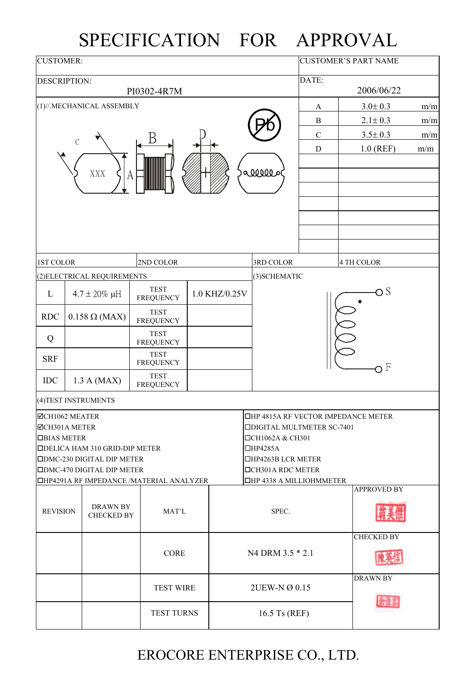## SPECIFICATION FOR APPROVAL

| <b>CUSTOMER:</b>                                      |             |                                       |                                                 | <b>CUSTOMER'S PART NAME</b> |               |               |                                                             |              |  |                    |     |
|-------------------------------------------------------|-------------|---------------------------------------|-------------------------------------------------|-----------------------------|---------------|---------------|-------------------------------------------------------------|--------------|--|--------------------|-----|
| DESCRIPTION:                                          |             |                                       | PI0302-4R7M                                     |                             |               |               |                                                             | DATE:        |  | 2006/06/22         |     |
|                                                       |             | (1)//.MECHANICAL ASSEMBLY             |                                                 |                             |               |               |                                                             | A            |  | $3.0 \pm 0.3$      | m/m |
|                                                       |             |                                       |                                                 |                             |               |               |                                                             | $\, {\bf B}$ |  | $2.1 \pm 0.3$      | m/m |
|                                                       |             |                                       |                                                 |                             |               |               |                                                             | $\mathbf C$  |  | $3.5 \pm 0.3$      | m/m |
|                                                       | $\mathbf C$ |                                       |                                                 |                             | ${\bf D}$     |               | $1.0$ (REF)                                                 | m/m          |  |                    |     |
|                                                       |             | XXX<br>A                              |                                                 | alllle                      |               |               |                                                             |              |  |                    |     |
|                                                       |             |                                       |                                                 |                             |               |               | 3RD COLOR                                                   |              |  | 4 TH COLOR         |     |
| 1ST COLOR<br>2ND COLOR<br>(2) ELECTRICAL REQUIREMENTS |             |                                       |                                                 |                             |               |               | (3) SCHEMATIC                                               |              |  |                    |     |
|                                                       | <b>TEST</b> |                                       |                                                 |                             |               |               |                                                             |              |  | $\bigcirc$ S       |     |
| L                                                     |             | $4.7 \pm 20\% \mu H$                  | <b>FREQUENCY</b>                                |                             | 1.0 KHZ/0.25V |               |                                                             |              |  |                    |     |
| <b>RDC</b>                                            |             | $0.158 \Omega$ (MAX)                  | <b>TEST</b><br><b>FREQUENCY</b>                 |                             |               |               |                                                             |              |  |                    |     |
| Q                                                     |             |                                       | <b>TEST</b><br><b>FREQUENCY</b>                 |                             |               |               |                                                             |              |  |                    |     |
| <b>SRF</b>                                            |             |                                       | <b>TEST</b><br><b>FREQUENCY</b>                 |                             |               |               |                                                             |              |  | оF                 |     |
| IDC                                                   |             | 1.3 A (MAX)                           | <b>TEST</b><br><b>FREQUENCY</b>                 |                             |               |               |                                                             |              |  |                    |     |
|                                                       |             | (4) TEST INSTRUMENTS                  |                                                 |                             |               |               |                                                             |              |  |                    |     |
| $\Xi$ CH1062 MEATER                                   |             |                                       |                                                 |                             |               |               | $\Box$ HP 4815A RF VECTOR IMPEDANCE METER                   |              |  |                    |     |
| <b>ØCH301A METER</b><br><b>DBIAS METER</b>            |             |                                       |                                                 |                             |               |               | □DIGITAL MULTMETER SC-7401<br>□CH1062A & CH301              |              |  |                    |     |
|                                                       |             | <b>IDELICA HAM 310 GRID-DIP METER</b> |                                                 |                             |               |               | $\Box$ HP4285A                                              |              |  |                    |     |
|                                                       |             | <b>ODMC-230 DIGITAL DIP METER</b>     |                                                 |                             |               |               | $\Box$ HP4263B LCR METER                                    |              |  |                    |     |
|                                                       |             | <b>DDMC-470 DIGITAL DIP METER</b>     |                                                 |                             |               |               | <b>OCH301A RDC METER</b><br><b>OHP 4338 A MILLIOHMMETER</b> |              |  |                    |     |
|                                                       |             |                                       | <b>OHP4291A RF IMPEDANCE /MATERIAL ANALYZER</b> |                             |               |               |                                                             |              |  | <b>APPROVED BY</b> |     |
| <b>REVISION</b>                                       |             | DRAWN BY<br>CHECKED BY                | MAT'L                                           |                             |               |               | SPEC.                                                       |              |  |                    |     |
|                                                       |             |                                       |                                                 |                             |               |               |                                                             |              |  | <b>CHECKED BY</b>  |     |
|                                                       |             |                                       | CORE                                            |                             |               |               | N4 DRM 3.5 * 2.1                                            |              |  |                    |     |
|                                                       |             |                                       | <b>TEST WIRE</b>                                |                             |               |               | 2UEW-N Ø 0.15                                               |              |  | <b>DRAWN BY</b>    |     |
|                                                       |             | <b>TEST TURNS</b>                     |                                                 |                             |               | 16.5 Ts (REF) |                                                             |              |  |                    |     |

## EROCORE ENTERPRISE CO., LTD.